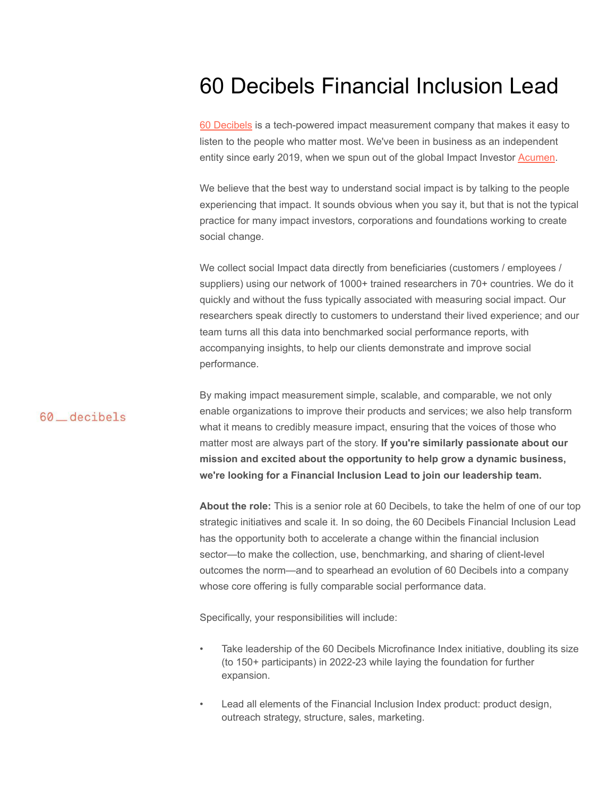## 60 Decibels Financial Inclusion Lead

60 [Decibels](http://www.60decibels.com) is a tech-powered impact measurement company that makes it easy to listen to the people who matter most. We've been in business as an independent entity since early 2019, when we spun out of the global Impact Investor [Acumen.](http://www.acumen.org/)

We believe that the best way to understand social impact is by talking to the people experiencing that impact. It sounds obvious when you say it, but that is not the typical practice for many impact investors, corporations and foundations working to create social change.

We collect social Impact data directly from beneficiaries (customers / employees / suppliers) using our network of 1000+ trained researchers in 70+ countries. We do it quickly and without the fuss typically associated with measuring social impact. Our researchers speak directly to customers to understand their lived experience; and our team turns all this data into benchmarked social performance reports, with accompanying insights, to help our clients demonstrate and improve social performance.

### 60 decibels

By making impact measurement simple, scalable, and comparable, we not only enable organizations to improve their products and services; we also help transform what it means to credibly measure impact, ensuring that the voices of those who matter most are always part of the story. **If you're similarly passionate about our mission and excited about the opportunity to help grow a dynamic business, we're looking for a Financial Inclusion Lead to join our leadership team.**

**About the role:** This is a senior role at 60 Decibels, to take the helm of one of our top strategic initiatives and scale it. In so doing, the 60 Decibels Financial Inclusion Lead has the opportunity both to accelerate a change within the financial inclusion sector—to make the collection, use, benchmarking, and sharing of client-level outcomes the norm—and to spearhead an evolution of 60 Decibels into a company whose core offering is fully comparable social performance data.

Specifically, your responsibilities will include:

- Take leadership of the 60 Decibels Microfinance Index initiative, doubling its size (to 150+ participants) in 2022-23 while laying the foundation for further expansion.
- Lead all elements of the Financial Inclusion Index product: product design, outreach strategy, structure, sales, marketing.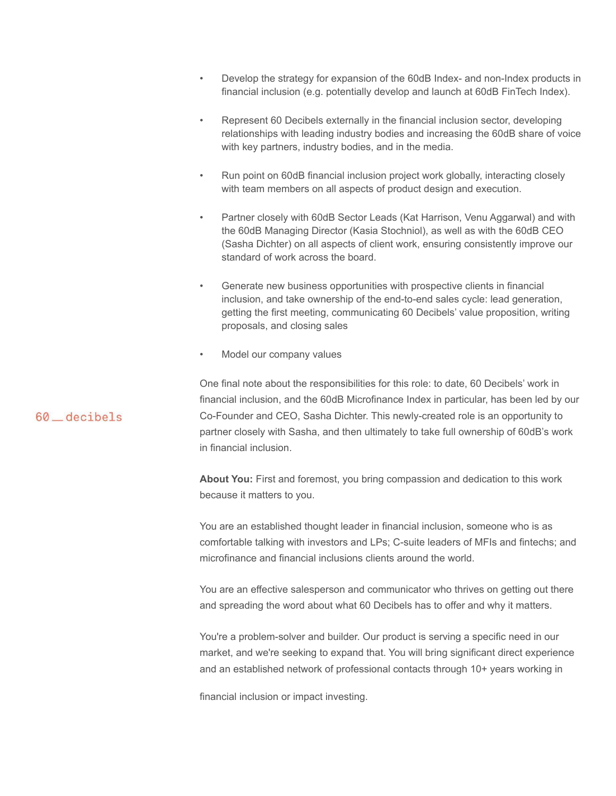- Develop the strategy for expansion of the 60dB Index- and non-Index products in financial inclusion (e.g. potentially develop and launch at 60dB FinTech Index).
- Represent 60 Decibels externally in the financial inclusion sector, developing relationships with leading industry bodies and increasing the 60dB share of voice with key partners, industry bodies, and in the media.
- Run point on 60dB financial inclusion project work globally, interacting closely with team members on all aspects of product design and execution.
- Partner closely with 60dB Sector Leads (Kat Harrison, Venu Aggarwal) and with the 60dB Managing Director (Kasia Stochniol), as well as with the 60dB CEO (Sasha Dichter) on all aspects of client work, ensuring consistently improve our standard of work across the board.
- Generate new business opportunities with prospective clients in financial inclusion, and take ownership of the end-to-end sales cycle: lead generation, getting the first meeting, communicating 60 Decibels' value proposition, writing proposals, and closing sales
- Model our company values

One final note about the responsibilities for this role: to date, 60 Decibels' work in financial inclusion, and the 60dB Microfinance Index in particular, has been led by our Co-Founder and CEO, Sasha Dichter. This newly-created role is an opportunity to partner closely with Sasha, and then ultimately to take full ownership of 60dB's work in financial inclusion.

**About You:** First and foremost, you bring compassion and dedication to this work because it matters to you.

You are an established thought leader in financial inclusion, someone who is as comfortable talking with investors and LPs; C-suite leaders of MFIs and fintechs; and microfinance and financial inclusions clients around the world.

You are an effective salesperson and communicator who thrives on getting out there and spreading the word about what 60 Decibels has to offer and why it matters.

You're a problem-solver and builder. Our product is serving a specific need in our market, and we're seeking to expand that. You will bring significant direct experience and an established network of professional contacts through 10+ years working in

financial inclusion or impact investing.

### 60 decibels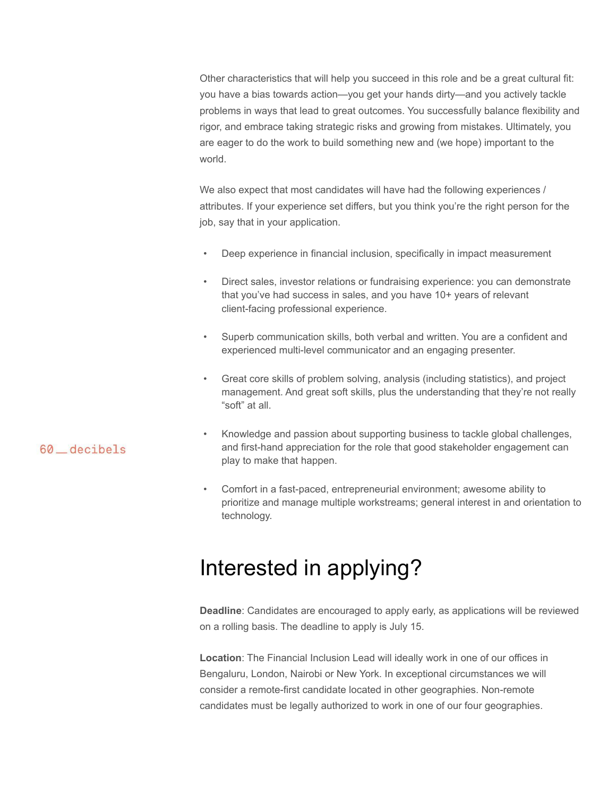Other characteristics that will help you succeed in this role and be a great cultural fit: you have a bias towards action—you get your hands dirty—and you actively tackle problems in ways that lead to great outcomes. You successfully balance flexibility and rigor, and embrace taking strategic risks and growing from mistakes. Ultimately, you are eager to do the work to build something new and (we hope) important to the world.

We also expect that most candidates will have had the following experiences / attributes. If your experience set differs, but you think you're the right person for the job, say that in your application.

- Deep experience in financial inclusion, specifically in impact measurement
- Direct sales, investor relations or fundraising experience: you can demonstrate that you've had success in sales, and you have 10+ years of relevant client-facing professional experience.
- Superb communication skills, both verbal and written. You are a confident and experienced multi-level communicator and an engaging presenter.
- Great core skills of problem solving, analysis (including statistics), and project management. And great soft skills, plus the understanding that they're not really "soft" at all.

### 60 \_decibels

- Knowledge and passion about supporting business to tackle global challenges, and first-hand appreciation for the role that good stakeholder engagement can play to make that happen.
- Comfort in a fast-paced, entrepreneurial environment; awesome ability to prioritize and manage multiple workstreams; general interest in and orientation to technology.

## Interested in applying?

**Deadline**: Candidates are encouraged to apply early, as applications will be reviewed on a rolling basis. The deadline to apply is July 15.

**Location**: The Financial Inclusion Lead will ideally work in one of our offices in Bengaluru, London, Nairobi or New York. In exceptional circumstances we will consider a remote-first candidate located in other geographies. Non-remote candidates must be legally authorized to work in one of our four geographies.